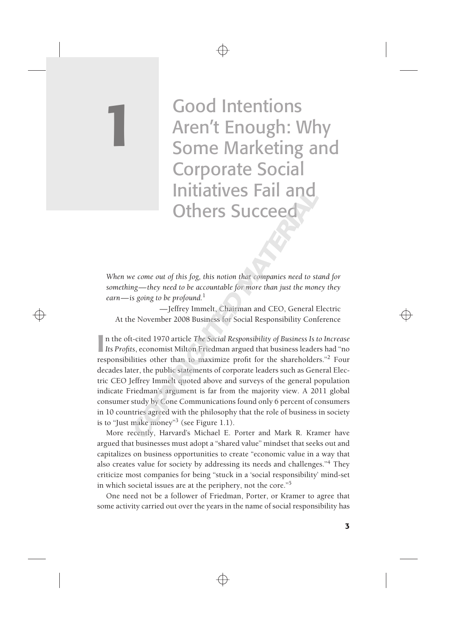**1** Good Intentions<br> **1** Aren't Enough: V<br>
Some Marketing Aren't Enough: Why Some Marketing and Corporate Social Initiatives Fail and Others Succeed

*When we come out of this fog, this notion that companies need to stand for something—they need to be accountable for more than just the money they earn—is going to be profound.*<sup>1</sup>

—Jeffrey Immelt, Chairman and CEO, General Electric At the November 2008 Business for Social Responsibility Conference

 $\oplus$ 

**I** In the oft-cited 1970 article *The Social Responsibility of Business Is to Increase*<br>*Its Profits*, economist Milton Friedman argued that business leaders had "no n the oft-cited 1970 article *The Social Responsibility of Business Is to Increase* responsibilities other than to maximize profit for the shareholders.''2 Four decades later, the public statements of corporate leaders such as General Electric CEO Jeffrey Immelt quoted above and surveys of the general population indicate Friedman's argument is far from the majority view. A 2011 global consumer study by Cone Communications found only 6 percent of consumers in 10 countries agreed with the philosophy that the role of business in society is to "Just make money"<sup>3</sup> (see Figure 1.1). **COMPTS SUCCEED**<br> *COPYRIGHTERIAL COMPANE COPYRIGHTED*<br> *COPYRIGHTERIAL COPYRIGHTED*<br> *COPYRIGHTED MATERIAL COPYRIGHTED*<br> *COPYRIGHTED*<br> *COPYRIGHTED*<br> *COPYRIGHTED*<br> *COPYRIGHTED*<br> *COPYRIGHTED*<br> *COPYRIGHTED*<br> *COPYRIGHT* 

More recently, Harvard's Michael E. Porter and Mark R. Kramer have argued that businesses must adopt a ''shared value'' mindset that seeks out and capitalizes on business opportunities to create ''economic value in a way that also creates value for society by addressing its needs and challenges."<sup>4</sup> They criticize most companies for being ''stuck in a 'social responsibility' mind-set in which societal issues are at the periphery, not the core.<sup>"5</sup>

One need not be a follower of Friedman, Porter, or Kramer to agree that some activity carried out over the years in the name of social responsibility has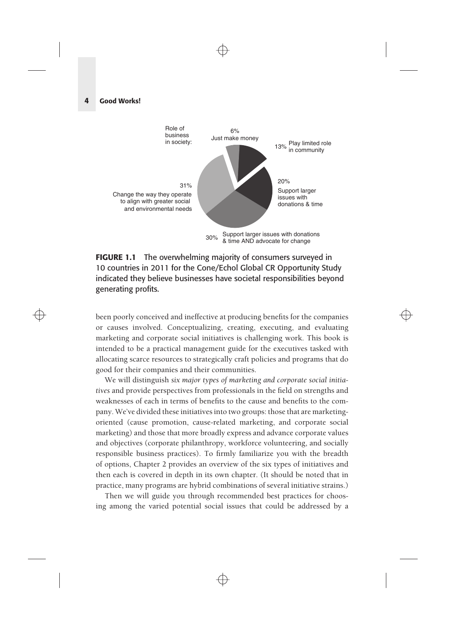

# **FIGURE 1.1** The overwhelming majority of consumers surveyed in 10 countries in 2011 for the Cone/Echol Global CR Opportunity Study indicated they believe businesses have societal responsibilities beyond generating profits.

been poorly conceived and ineffective at producing benefits for the companies or causes involved. Conceptualizing, creating, executing, and evaluating marketing and corporate social initiatives is challenging work. This book is intended to be a practical management guide for the executives tasked with allocating scarce resources to strategically craft policies and programs that do good for their companies and their communities.

We will distinguish *six major types of marketing and corporate social initiatives* and provide perspectives from professionals in the field on strengths and weaknesses of each in terms of benefits to the cause and benefits to the company. We've divided these initiatives into two groups: those that are marketingoriented (cause promotion, cause-related marketing, and corporate social marketing) and those that more broadly express and advance corporate values and objectives (corporate philanthropy, workforce volunteering, and socially responsible business practices). To firmly familiarize you with the breadth of options, Chapter 2 provides an overview of the six types of initiatives and then each is covered in depth in its own chapter. (It should be noted that in practice, many programs are hybrid combinations of several initiative strains.)

Then we will guide you through recommended best practices for choosing among the varied potential social issues that could be addressed by a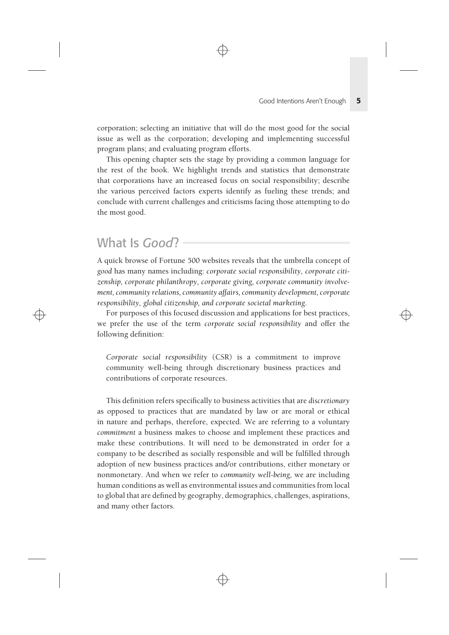corporation; selecting an initiative that will do the most good for the social issue as well as the corporation; developing and implementing successful program plans; and evaluating program efforts.

This opening chapter sets the stage by providing a common language for the rest of the book. We highlight trends and statistics that demonstrate that corporations have an increased focus on social responsibility; describe the various perceived factors experts identify as fueling these trends; and conclude with current challenges and criticisms facing those attempting to do the most good.

# What Is *Good*?

A quick browse of Fortune 500 websites reveals that the umbrella concept of *good* has many names including: *corporate social responsibility, corporate citizenship, corporate philanthropy, corporate giving, corporate community involvement, community relations, community affairs, community development, corporate responsibility, global citizenship, and corporate societal marketing*.

For purposes of this focused discussion and applications for best practices, we prefer the use of the term *corporate social responsibility* and offer the following definition:

*Corporate social responsibility* (CSR) is a commitment to improve community well-being through discretionary business practices and contributions of corporate resources.

This definition refers specifically to business activities that are *discretionary* as opposed to practices that are mandated by law or are moral or ethical in nature and perhaps, therefore, expected. We are referring to a voluntary *commitment* a business makes to choose and implement these practices and make these contributions. It will need to be demonstrated in order for a company to be described as socially responsible and will be fulfilled through adoption of new business practices and/or contributions, either monetary or nonmonetary. And when we refer to *community well-being,* we are including human conditions as well as environmental issues and communities from local to global that are defined by geography, demographics, challenges, aspirations, and many other factors.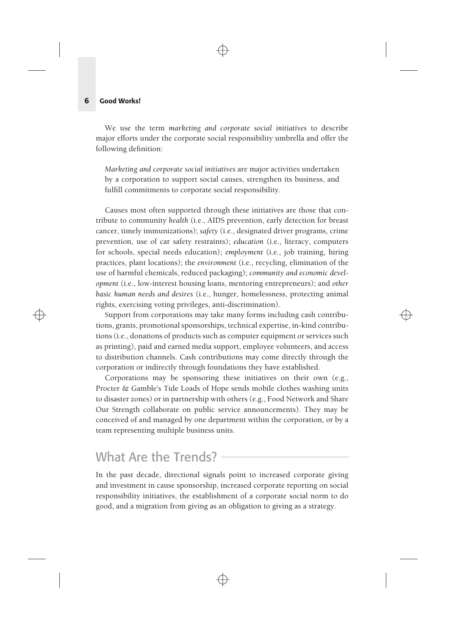We use the term *marketing and corporate social initiatives* to describe major efforts under the corporate social responsibility umbrella and offer the following definition:

*Marketing and corporate social initiatives* are major activities undertaken by a corporation to support social causes, strengthen its business, and fulfill commitments to corporate social responsibility.

Causes most often supported through these initiatives are those that contribute to community *health* (i.e., AIDS prevention, early detection for breast cancer, timely immunizations); *safety* (i.e., designated driver programs, crime prevention, use of car safety restraints); *education* (i.e., literacy, computers for schools, special needs education); *employment* (i.e., job training, hiring practices, plant locations); the *environment* (i.e., recycling, elimination of the use of harmful chemicals, reduced packaging); *community and economic development* (i.e., low-interest housing loans, mentoring entrepreneurs); and *other basic human needs and desires* (i.e., hunger, homelessness, protecting animal rights, exercising voting privileges, anti-discrimination).

Support from corporations may take many forms including cash contributions, grants, promotional sponsorships, technical expertise, in-kind contributions (i.e., donations of products such as computer equipment or services such as printing), paid and earned media support, employee volunteers, and access to distribution channels. Cash contributions may come directly through the corporation or indirectly through foundations they have established.

Corporations may be sponsoring these initiatives on their own (e.g., Procter & Gamble's Tide Loads of Hope sends mobile clothes washing units to disaster zones) or in partnership with others (e.g., Food Network and Share Our Strength collaborate on public service announcements). They may be conceived of and managed by one department within the corporation, or by a team representing multiple business units.

# What Are the Trends? -

In the past decade, directional signals point to increased corporate giving and investment in cause sponsorship, increased corporate reporting on social responsibility initiatives, the establishment of a corporate social norm to do good, and a migration from giving as an obligation to giving as a strategy.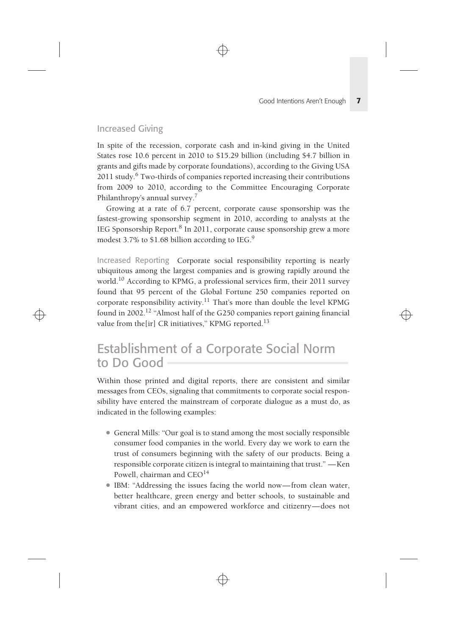# Increased Giving

In spite of the recession, corporate cash and in-kind giving in the United States rose 10.6 percent in 2010 to \$15.29 billion (including \$4.7 billion in grants and gifts made by corporate foundations), according to the Giving USA 2011 study.<sup>6</sup> Two-thirds of companies reported increasing their contributions from 2009 to 2010, according to the Committee Encouraging Corporate Philanthropy's annual survey.<sup>7</sup>

Growing at a rate of 6.7 percent, corporate cause sponsorship was the fastest-growing sponsorship segment in 2010, according to analysts at the IEG Sponsorship Report.<sup>8</sup> In 2011, corporate cause sponsorship grew a more modest 3.7% to \$1.68 billion according to IEG.<sup>9</sup>

Increased Reporting Corporate social responsibility reporting is nearly ubiquitous among the largest companies and is growing rapidly around the world.<sup>10</sup> According to KPMG, a professional services firm, their 2011 survey found that 95 percent of the Global Fortune 250 companies reported on corporate responsibility activity.<sup>11</sup> That's more than double the level KPMG found in 2002.<sup>12</sup> ''Almost half of the G250 companies report gaining financial value from the[ir]  $CR$  initiatives," KPMG reported.<sup>13</sup>

# Establishment of a Corporate Social Norm to Do Good

Within those printed and digital reports, there are consistent and similar messages from CEOs, signaling that commitments to corporate social responsibility have entered the mainstream of corporate dialogue as a must do, as indicated in the following examples:

- General Mills: ''Our goal is to stand among the most socially responsible consumer food companies in the world. Every day we work to earn the trust of consumers beginning with the safety of our products. Being a responsible corporate citizen is integral to maintaining that trust.'' —Ken Powell, chairman and CEO<sup>14</sup>
- IBM: ''Addressing the issues facing the world now—from clean water, better healthcare, green energy and better schools, to sustainable and vibrant cities, and an empowered workforce and citizenry—does not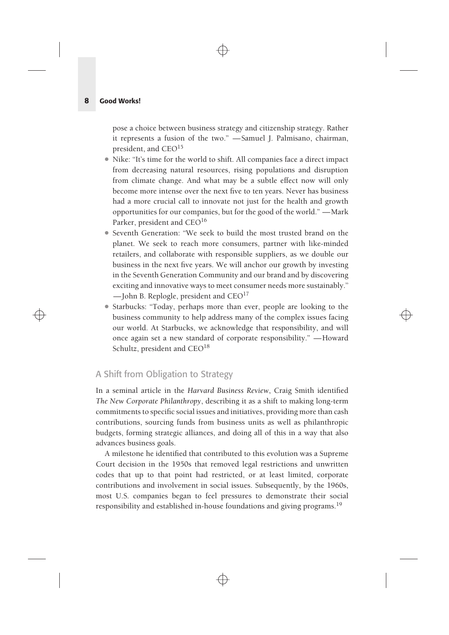pose a choice between business strategy and citizenship strategy. Rather it represents a fusion of the two.'' —Samuel J. Palmisano, chairman, president, and CEO<sup>15</sup>

- Nike: ''It's time for the world to shift. All companies face a direct impact from decreasing natural resources, rising populations and disruption from climate change. And what may be a subtle effect now will only become more intense over the next five to ten years. Never has business had a more crucial call to innovate not just for the health and growth opportunities for our companies, but for the good of the world.'' —Mark Parker, president and CEO<sup>16</sup>
- Seventh Generation: ''We seek to build the most trusted brand on the planet. We seek to reach more consumers, partner with like-minded retailers, and collaborate with responsible suppliers, as we double our business in the next five years. We will anchor our growth by investing in the Seventh Generation Community and our brand and by discovering exciting and innovative ways to meet consumer needs more sustainably.''  $-$ John B. Replogle, president and  $CEO<sup>17</sup>$
- Starbucks: ''Today, perhaps more than ever, people are looking to the business community to help address many of the complex issues facing our world. At Starbucks, we acknowledge that responsibility, and will once again set a new standard of corporate responsibility.'' —Howard Schultz, president and CEO<sup>18</sup>

## A Shift from Obligation to Strategy

In a seminal article in the *Harvard Business Review*, Craig Smith identified *The New Corporate Philanthropy*, describing it as a shift to making long-term commitments to specific social issues and initiatives, providing more than cash contributions, sourcing funds from business units as well as philanthropic budgets, forming strategic alliances, and doing all of this in a way that also advances business goals.

A milestone he identified that contributed to this evolution was a Supreme Court decision in the 1950s that removed legal restrictions and unwritten codes that up to that point had restricted, or at least limited, corporate contributions and involvement in social issues. Subsequently, by the 1960s, most U.S. companies began to feel pressures to demonstrate their social responsibility and established in-house foundations and giving programs.<sup>19</sup>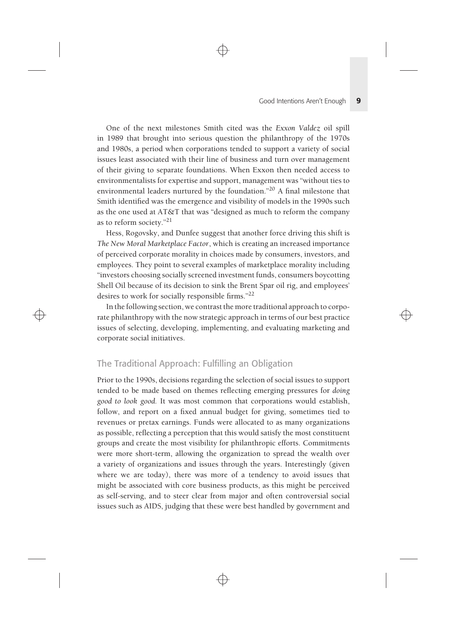One of the next milestones Smith cited was the *Exxon Valdez* oil spill in 1989 that brought into serious question the philanthropy of the 1970s and 1980s, a period when corporations tended to support a variety of social issues least associated with their line of business and turn over management of their giving to separate foundations. When Exxon then needed access to environmentalists for expertise and support, management was ''without ties to environmental leaders nurtured by the foundation."<sup>20</sup> A final milestone that Smith identified was the emergence and visibility of models in the 1990s such as the one used at AT&T that was ''designed as much to reform the company as to reform society.''<sup>21</sup>

Hess, Rogovsky, and Dunfee suggest that another force driving this shift is *The New Moral Marketplace Factor*, which is creating an increased importance of perceived corporate morality in choices made by consumers, investors, and employees. They point to several examples of marketplace morality including ''investors choosing socially screened investment funds, consumers boycotting Shell Oil because of its decision to sink the Brent Spar oil rig, and employees' desires to work for socially responsible firms.''22

In the following section, we contrast the more traditional approach to corporate philanthropy with the now strategic approach in terms of our best practice issues of selecting, developing, implementing, and evaluating marketing and corporate social initiatives.

## The Traditional Approach: Fulfilling an Obligation

Prior to the 1990s, decisions regarding the selection of social issues to support tended to be made based on themes reflecting emerging pressures for *doing good to look good.* It was most common that corporations would establish, follow, and report on a fixed annual budget for giving, sometimes tied to revenues or pretax earnings. Funds were allocated to as many organizations as possible, reflecting a perception that this would satisfy the most constituent groups and create the most visibility for philanthropic efforts. Commitments were more short-term, allowing the organization to spread the wealth over a variety of organizations and issues through the years. Interestingly (given where we are today), there was more of a tendency to avoid issues that might be associated with core business products, as this might be perceived as self-serving, and to steer clear from major and often controversial social issues such as AIDS, judging that these were best handled by government and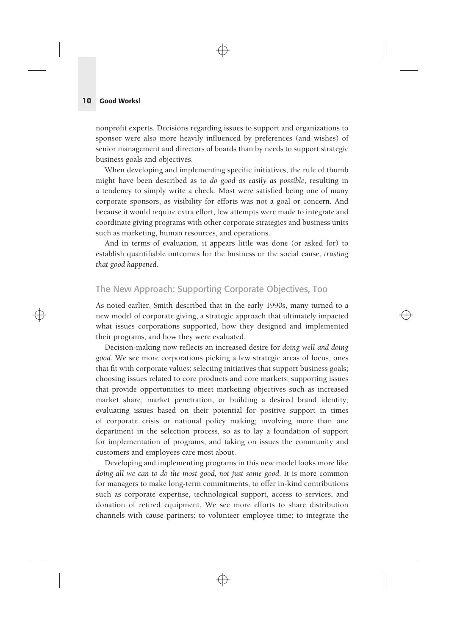nonprofit experts. Decisions regarding issues to support and organizations to sponsor were also more heavily influenced by preferences (and wishes) of senior management and directors of boards than by needs to support strategic business goals and objectives.

When developing and implementing specific initiatives, the rule of thumb might have been described as to *do good as easily as possible*, resulting in a tendency to simply write a check. Most were satisfied being one of many corporate sponsors, as visibility for efforts was not a goal or concern. And because it would require extra effort, few attempts were made to integrate and coordinate giving programs with other corporate strategies and business units such as marketing, human resources, and operations.

And in terms of evaluation, it appears little was done (or asked for) to establish quantifiable outcomes for the business or the social cause, *trusting that good happened.*

# The New Approach: Supporting Corporate Objectives, Too

As noted earlier, Smith described that in the early 1990s, many turned to a new model of corporate giving, a strategic approach that ultimately impacted what issues corporations supported, how they designed and implemented their programs, and how they were evaluated.

Decision-making now reflects an increased desire for *doing well and doing good*. We see more corporations picking a few strategic areas of focus, ones that fit with corporate values; selecting initiatives that support business goals; choosing issues related to core products and core markets; supporting issues that provide opportunities to meet marketing objectives such as increased market share, market penetration, or building a desired brand identity; evaluating issues based on their potential for positive support in times of corporate crisis or national policy making; involving more than one department in the selection process, so as to lay a foundation of support for implementation of programs; and taking on issues the community and customers and employees care most about.

Developing and implementing programs in this new model looks more like *doing all we can to do the most good, not just some good*. It is more common for managers to make long-term commitments, to offer in-kind contributions such as corporate expertise, technological support, access to services, and donation of retired equipment. We see more efforts to share distribution channels with cause partners; to volunteer employee time; to integrate the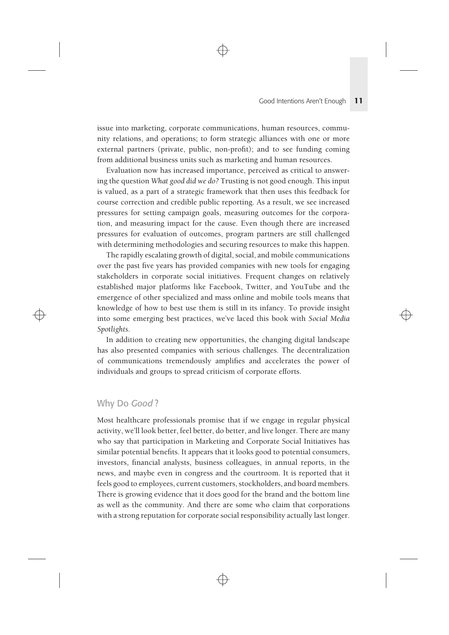issue into marketing, corporate communications, human resources, community relations, and operations; to form strategic alliances with one or more external partners (private, public, non-profit); and to see funding coming from additional business units such as marketing and human resources.

Evaluation now has increased importance, perceived as critical to answering the question *What good did we do?* Trusting is not good enough. This input is valued, as a part of a strategic framework that then uses this feedback for course correction and credible public reporting. As a result, we see increased pressures for setting campaign goals, measuring outcomes for the corporation, and measuring impact for the cause. Even though there are increased pressures for evaluation of outcomes, program partners are still challenged with determining methodologies and securing resources to make this happen.

The rapidly escalating growth of digital, social, and mobile communications over the past five years has provided companies with new tools for engaging stakeholders in corporate social initiatives. Frequent changes on relatively established major platforms like Facebook, Twitter, and YouTube and the emergence of other specialized and mass online and mobile tools means that knowledge of how to best use them is still in its infancy. To provide insight into some emerging best practices, we've laced this book with *Social Media Spotlights*.

In addition to creating new opportunities, the changing digital landscape has also presented companies with serious challenges. The decentralization of communications tremendously amplifies and accelerates the power of individuals and groups to spread criticism of corporate efforts.

## Why Do *Good* ?

Most healthcare professionals promise that if we engage in regular physical activity, we'll look better, feel better, do better, and live longer. There are many who say that participation in Marketing and Corporate Social Initiatives has similar potential benefits. It appears that it looks good to potential consumers, investors, financial analysts, business colleagues, in annual reports, in the news, and maybe even in congress and the courtroom. It is reported that it feels good to employees, current customers, stockholders, and board members. There is growing evidence that it does good for the brand and the bottom line as well as the community. And there are some who claim that corporations with a strong reputation for corporate social responsibility actually last longer.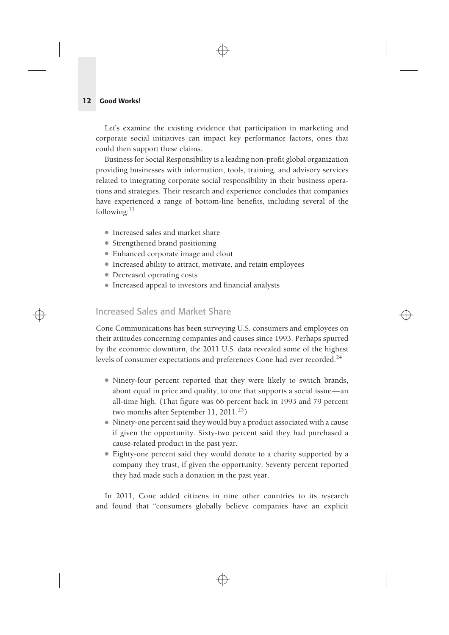Let's examine the existing evidence that participation in marketing and corporate social initiatives can impact key performance factors, ones that could then support these claims.

Business for Social Responsibility is a leading non-profit global organization providing businesses with information, tools, training, and advisory services related to integrating corporate social responsibility in their business operations and strategies. Their research and experience concludes that companies have experienced a range of bottom-line benefits, including several of the following:23

- Increased sales and market share
- Strengthened brand positioning
- Enhanced corporate image and clout
- Increased ability to attract, motivate, and retain employees
- Decreased operating costs
- Increased appeal to investors and financial analysts

# Increased Sales and Market Share

Cone Communications has been surveying U.S. consumers and employees on their attitudes concerning companies and causes since 1993. Perhaps spurred by the economic downturn, the 2011 U.S. data revealed some of the highest levels of consumer expectations and preferences Cone had ever recorded.<sup>24</sup>

- Ninety-four percent reported that they were likely to switch brands, about equal in price and quality, to one that supports a social issue—an all-time high. (That figure was 66 percent back in 1993 and 79 percent two months after September 11, 2011.<sup>25</sup>)
- Ninety-one percent said they would buy a product associated with a cause if given the opportunity. Sixty-two percent said they had purchased a cause-related product in the past year.
- Eighty-one percent said they would donate to a charity supported by a company they trust, if given the opportunity. Seventy percent reported they had made such a donation in the past year.

In 2011, Cone added citizens in nine other countries to its research and found that ''consumers globally believe companies have an explicit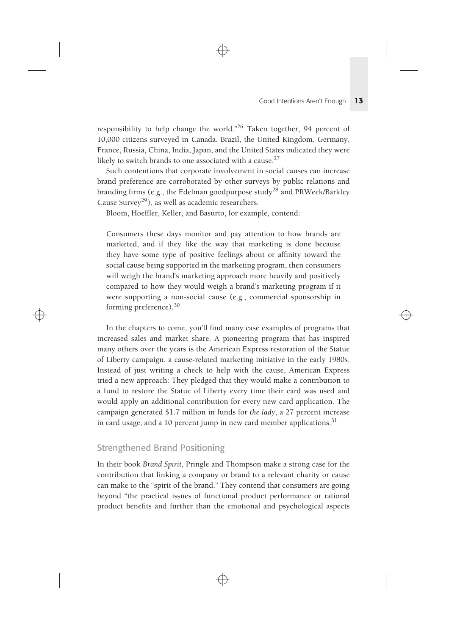responsibility to help change the world."<sup>26</sup> Taken together, 94 percent of 10,000 citizens surveyed in Canada, Brazil, the United Kingdom, Germany, France, Russia, China, India, Japan, and the United States indicated they were likely to switch brands to one associated with a cause.<sup>27</sup>

Such contentions that corporate involvement in social causes can increase brand preference are corroborated by other surveys by public relations and branding firms (e.g., the Edelman goodpurpose study<sup>28</sup> and PRWeek/Barkley Cause Survey<sup>29</sup>), as well as academic researchers.

Bloom, Hoeffler, Keller, and Basurto, for example, contend:

Consumers these days monitor and pay attention to how brands are marketed, and if they like the way that marketing is done because they have some type of positive feelings about or affinity toward the social cause being supported in the marketing program, then consumers will weigh the brand's marketing approach more heavily and positively compared to how they would weigh a brand's marketing program if it were supporting a non-social cause (e.g., commercial sponsorship in forming preference).30

In the chapters to come, you'll find many case examples of programs that increased sales and market share. A pioneering program that has inspired many others over the years is the American Express restoration of the Statue of Liberty campaign, a cause-related marketing initiative in the early 1980s. Instead of just writing a check to help with the cause, American Express tried a new approach: They pledged that they would make a contribution to a fund to restore the Statue of Liberty every time their card was used and would apply an additional contribution for every new card application. The campaign generated \$1.7 million in funds for *the lady*, a 27 percent increase in card usage, and a 10 percent jump in new card member applications.<sup>31</sup>

## Strengthened Brand Positioning

In their book *Brand Spirit*, Pringle and Thompson make a strong case for the contribution that linking a company or brand to a relevant charity or cause can make to the "spirit of the brand." They contend that consumers are going beyond ''the practical issues of functional product performance or rational product benefits and further than the emotional and psychological aspects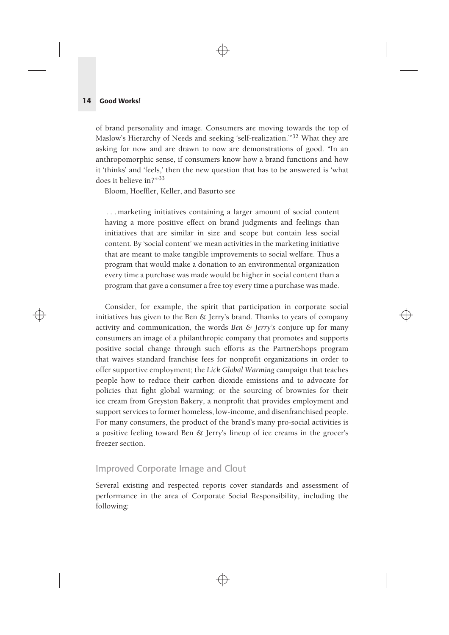of brand personality and image. Consumers are moving towards the top of Maslow's Hierarchy of Needs and seeking 'self-realization."<sup>32</sup> What they are asking for now and are drawn to now are demonstrations of good. ''In an anthropomorphic sense, if consumers know how a brand functions and how it 'thinks' and 'feels,' then the new question that has to be answered is 'what does it believe in?"33

Bloom, Hoeffler, Keller, and Basurto see

. . . marketing initiatives containing a larger amount of social content having a more positive effect on brand judgments and feelings than initiatives that are similar in size and scope but contain less social content. By 'social content' we mean activities in the marketing initiative that are meant to make tangible improvements to social welfare. Thus a program that would make a donation to an environmental organization every time a purchase was made would be higher in social content than a program that gave a consumer a free toy every time a purchase was made.

Consider, for example, the spirit that participation in corporate social initiatives has given to the Ben & Jerry's brand. Thanks to years of company activity and communication, the words *Ben & Jerry's* conjure up for many consumers an image of a philanthropic company that promotes and supports positive social change through such efforts as the PartnerShops program that waives standard franchise fees for nonprofit organizations in order to offer supportive employment; the *Lick Global Warming* campaign that teaches people how to reduce their carbon dioxide emissions and to advocate for policies that fight global warming; or the sourcing of brownies for their ice cream from Greyston Bakery, a nonprofit that provides employment and support services to former homeless, low-income, and disenfranchised people. For many consumers, the product of the brand's many pro-social activities is a positive feeling toward Ben & Jerry's lineup of ice creams in the grocer's freezer section.

# Improved Corporate Image and Clout

Several existing and respected reports cover standards and assessment of performance in the area of Corporate Social Responsibility, including the following: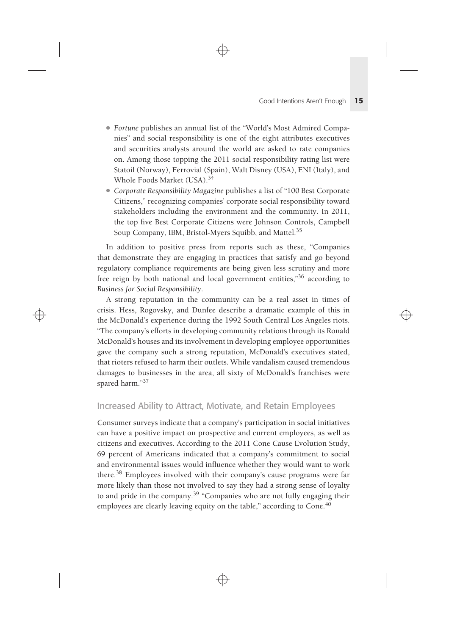- *Fortune* publishes an annual list of the ''World's Most Admired Companies'' and social responsibility is one of the eight attributes executives and securities analysts around the world are asked to rate companies on. Among those topping the 2011 social responsibility rating list were Statoil (Norway), Ferrovial (Spain), Walt Disney (USA), ENI (Italy), and Whole Foods Market (USA).34
- *Corporate Responsibility Magazine* publishes a list of ''100 Best Corporate Citizens,'' recognizing companies' corporate social responsibility toward stakeholders including the environment and the community. In 2011, the top five Best Corporate Citizens were Johnson Controls, Campbell Soup Company, IBM, Bristol-Myers Squibb, and Mattel.<sup>35</sup>

In addition to positive press from reports such as these, ''Companies that demonstrate they are engaging in practices that satisfy and go beyond regulatory compliance requirements are being given less scrutiny and more free reign by both national and local government entities," $36$  according to *Business for Social Responsibility*.

A strong reputation in the community can be a real asset in times of crisis. Hess, Rogovsky, and Dunfee describe a dramatic example of this in the McDonald's experience during the 1992 South Central Los Angeles riots. ''The company's efforts in developing community relations through its Ronald McDonald's houses and its involvement in developing employee opportunities gave the company such a strong reputation, McDonald's executives stated, that rioters refused to harm their outlets. While vandalism caused tremendous damages to businesses in the area, all sixty of McDonald's franchises were spared harm."<sup>37</sup>

## Increased Ability to Attract, Motivate, and Retain Employees

Consumer surveys indicate that a company's participation in social initiatives can have a positive impact on prospective and current employees, as well as citizens and executives. According to the 2011 Cone Cause Evolution Study, 69 percent of Americans indicated that a company's commitment to social and environmental issues would influence whether they would want to work there.38 Employees involved with their company's cause programs were far more likely than those not involved to say they had a strong sense of loyalty to and pride in the company.<sup>39</sup> "Companies who are not fully engaging their employees are clearly leaving equity on the table," according to Cone.<sup>40</sup>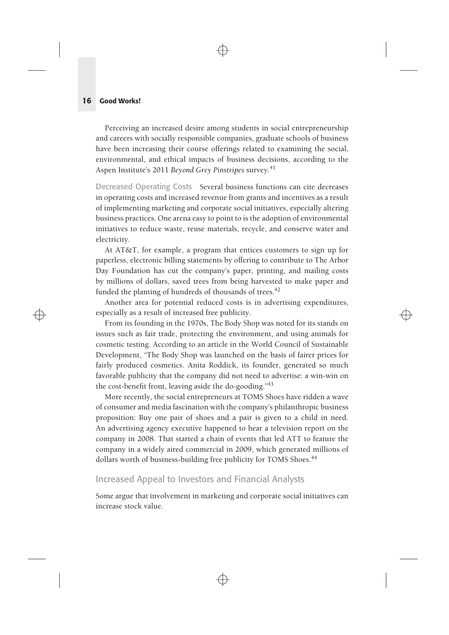Perceiving an increased desire among students in social entrepreneurship and careers with socially responsible companies, graduate schools of business have been increasing their course offerings related to examining the social, environmental, and ethical impacts of business decisions, according to the Aspen Institute's 2011 *Beyond Grey Pinstripes* survey.<sup>41</sup>

Decreased Operating Costs Several business functions can cite decreases in operating costs and increased revenue from grants and incentives as a result of implementing marketing and corporate social initiatives, especially altering business practices. One arena easy to point to is the adoption of environmental initiatives to reduce waste, reuse materials, recycle, and conserve water and electricity.

At AT&T, for example, a program that entices customers to sign up for paperless, electronic billing statements by offering to contribute to The Arbor Day Foundation has cut the company's paper, printing, and mailing costs by millions of dollars, saved trees from being harvested to make paper and funded the planting of hundreds of thousands of trees.<sup>42</sup>

Another area for potential reduced costs is in advertising expenditures, especially as a result of increased free publicity.

From its founding in the 1970s, The Body Shop was noted for its stands on issues such as fair trade, protecting the environment, and using animals for cosmetic testing. According to an article in the World Council of Sustainable Development, "The Body Shop was launched on the basis of fairer prices for fairly produced cosmetics. Anita Roddick, its founder, generated so much favorable publicity that the company did not need to advertise: a win-win on the cost-benefit front, leaving aside the do-gooding."<sup>43</sup>

More recently, the social entrepreneurs at TOMS Shoes have ridden a wave of consumer and media fascination with the company's philanthropic business proposition: Buy one pair of shoes and a pair is given to a child in need. An advertising agency executive happened to hear a television report on the company in 2008. That started a chain of events that led ATT to feature the company in a widely aired commercial in 2009, which generated millions of dollars worth of business-building free publicity for TOMS Shoes.<sup>44</sup>

## Increased Appeal to Investors and Financial Analysts

Some argue that involvement in marketing and corporate social initiatives can increase stock value.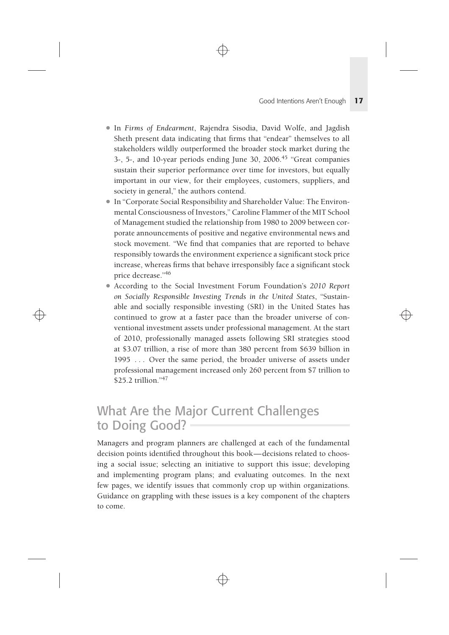- In *Firms of Endearment*, Rajendra Sisodia, David Wolfe, and Jagdish Sheth present data indicating that firms that ''endear'' themselves to all stakeholders wildly outperformed the broader stock market during the 3-, 5-, and 10-year periods ending June 30, 2006.<sup>45</sup> "Great companies sustain their superior performance over time for investors, but equally important in our view, for their employees, customers, suppliers, and society in general," the authors contend.
- In ''Corporate Social Responsibility and Shareholder Value: The Environmental Consciousness of Investors,'' Caroline Flammer of the MIT School of Management studied the relationship from 1980 to 2009 between corporate announcements of positive and negative environmental news and stock movement. ''We find that companies that are reported to behave responsibly towards the environment experience a significant stock price increase, whereas firms that behave irresponsibly face a significant stock price decrease.''<sup>46</sup>
- According to the Social Investment Forum Foundation's *2010 Report on Socially Responsible Investing Trends in the United States*, ''Sustainable and socially responsible investing (SRI) in the United States has continued to grow at a faster pace than the broader universe of conventional investment assets under professional management. At the start of 2010, professionally managed assets following SRI strategies stood at \$3.07 trillion, a rise of more than 380 percent from \$639 billion in 1995 . . . Over the same period, the broader universe of assets under professional management increased only 260 percent from \$7 trillion to \$25.2 trillion."<sup>47</sup>

# What Are the Major Current Challenges to Doing Good?

Managers and program planners are challenged at each of the fundamental decision points identified throughout this book—decisions related to choosing a social issue; selecting an initiative to support this issue; developing and implementing program plans; and evaluating outcomes. In the next few pages, we identify issues that commonly crop up within organizations. Guidance on grappling with these issues is a key component of the chapters to come.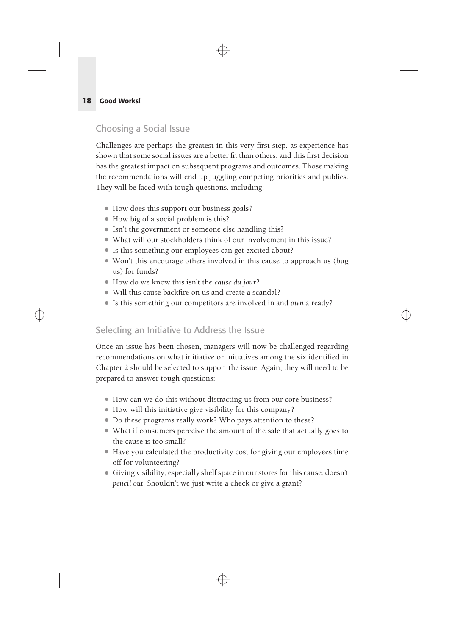## Choosing a Social Issue

Challenges are perhaps the greatest in this very first step, as experience has shown that some social issues are a better fit than others, and this first decision has the greatest impact on subsequent programs and outcomes. Those making the recommendations will end up juggling competing priorities and publics. They will be faced with tough questions, including:

- How does this support our business goals?
- How big of a social problem is this?
- Isn't the government or someone else handling this?
- What will our stockholders think of our involvement in this issue?
- Is this something our employees can get excited about?
- Won't this encourage others involved in this cause to approach us (bug us) for funds?
- How do we know this isn't the *cause du jour*?
- Will this cause backfire on us and create a scandal?
- Is this something our competitors are involved in and *own* already?

# Selecting an Initiative to Address the Issue

Once an issue has been chosen, managers will now be challenged regarding recommendations on what initiative or initiatives among the six identified in Chapter 2 should be selected to support the issue. Again, they will need to be prepared to answer tough questions:

- How can we do this without distracting us from our core business?
- How will this initiative give visibility for this company?
- Do these programs really work? Who pays attention to these?
- What if consumers perceive the amount of the sale that actually goes to the cause is too small?
- Have you calculated the productivity cost for giving our employees time off for volunteering?
- Giving visibility, especially shelf space in our stores for this cause, doesn't *pencil out*. Shouldn't we just write a check or give a grant?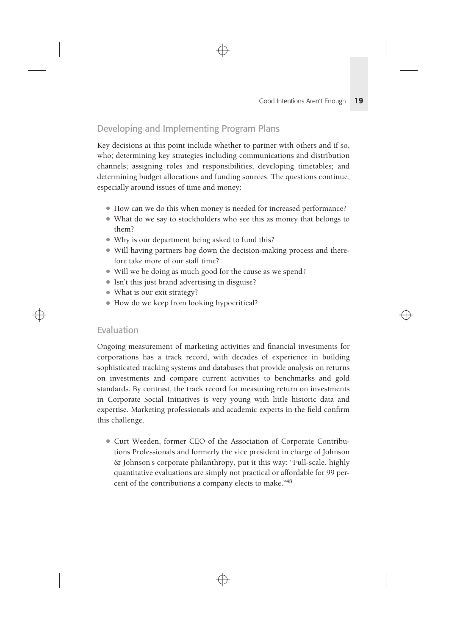# Developing and Implementing Program Plans

Key decisions at this point include whether to partner with others and if so, who; determining key strategies including communications and distribution channels; assigning roles and responsibilities; developing timetables; and determining budget allocations and funding sources. The questions continue, especially around issues of time and money:

- How can we do this when money is needed for increased performance?
- What do we say to stockholders who see this as money that belongs to them?
- Why is our department being asked to fund this?
- Will having partners bog down the decision-making process and therefore take more of our staff time?
- Will we be doing as much good for the cause as we spend?
- Isn't this just brand advertising in disguise?
- What is our exit strategy?
- How do we keep from looking hypocritical?

## Evaluation

Ongoing measurement of marketing activities and financial investments for corporations has a track record, with decades of experience in building sophisticated tracking systems and databases that provide analysis on returns on investments and compare current activities to benchmarks and gold standards. By contrast, the track record for measuring return on investments in Corporate Social Initiatives is very young with little historic data and expertise. Marketing professionals and academic experts in the field confirm this challenge.

● Curt Weeden, former CEO of the Association of Corporate Contributions Professionals and formerly the vice president in charge of Johnson & Johnson's corporate philanthropy, put it this way: ''Full-scale, highly quantitative evaluations are simply not practical or affordable for 99 percent of the contributions a company elects to make."<sup>48</sup>